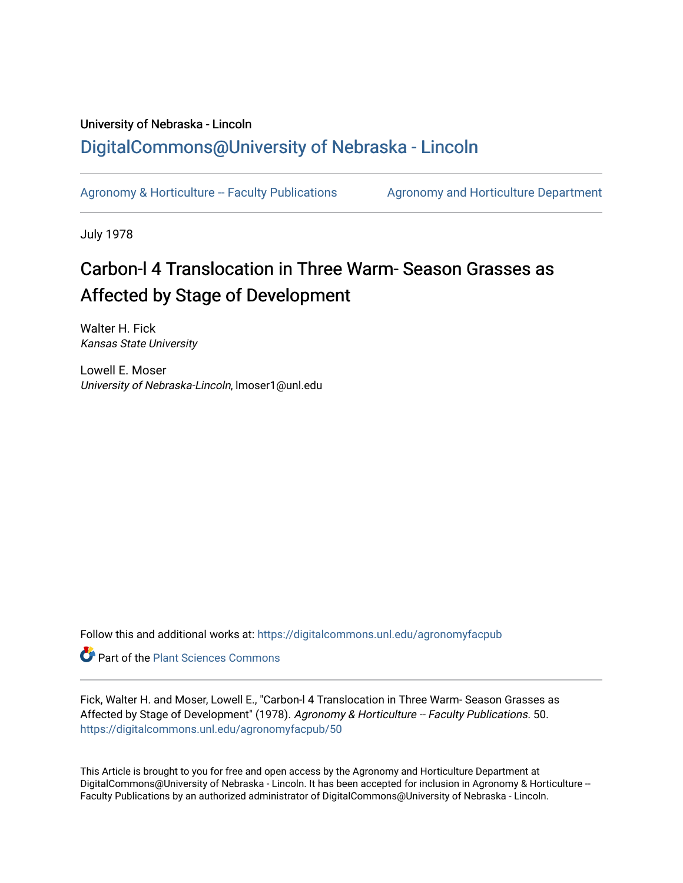## University of Nebraska - Lincoln [DigitalCommons@University of Nebraska - Lincoln](https://digitalcommons.unl.edu/)

[Agronomy & Horticulture -- Faculty Publications](https://digitalcommons.unl.edu/agronomyfacpub) Agronomy and Horticulture Department

July 1978

# Carbon-l 4 Translocation in Three Warm- Season Grasses as Affected by Stage of Development

Walter H. Fick Kansas State University

Lowell E. Moser University of Nebraska-Lincoln, lmoser1@unl.edu

Follow this and additional works at: [https://digitalcommons.unl.edu/agronomyfacpub](https://digitalcommons.unl.edu/agronomyfacpub?utm_source=digitalcommons.unl.edu%2Fagronomyfacpub%2F50&utm_medium=PDF&utm_campaign=PDFCoverPages)

Part of the [Plant Sciences Commons](http://network.bepress.com/hgg/discipline/102?utm_source=digitalcommons.unl.edu%2Fagronomyfacpub%2F50&utm_medium=PDF&utm_campaign=PDFCoverPages)

Fick, Walter H. and Moser, Lowell E., "Carbon-l 4 Translocation in Three Warm- Season Grasses as Affected by Stage of Development" (1978). Agronomy & Horticulture -- Faculty Publications. 50. [https://digitalcommons.unl.edu/agronomyfacpub/50](https://digitalcommons.unl.edu/agronomyfacpub/50?utm_source=digitalcommons.unl.edu%2Fagronomyfacpub%2F50&utm_medium=PDF&utm_campaign=PDFCoverPages) 

This Article is brought to you for free and open access by the Agronomy and Horticulture Department at DigitalCommons@University of Nebraska - Lincoln. It has been accepted for inclusion in Agronomy & Horticulture --Faculty Publications by an authorized administrator of DigitalCommons@University of Nebraska - Lincoln.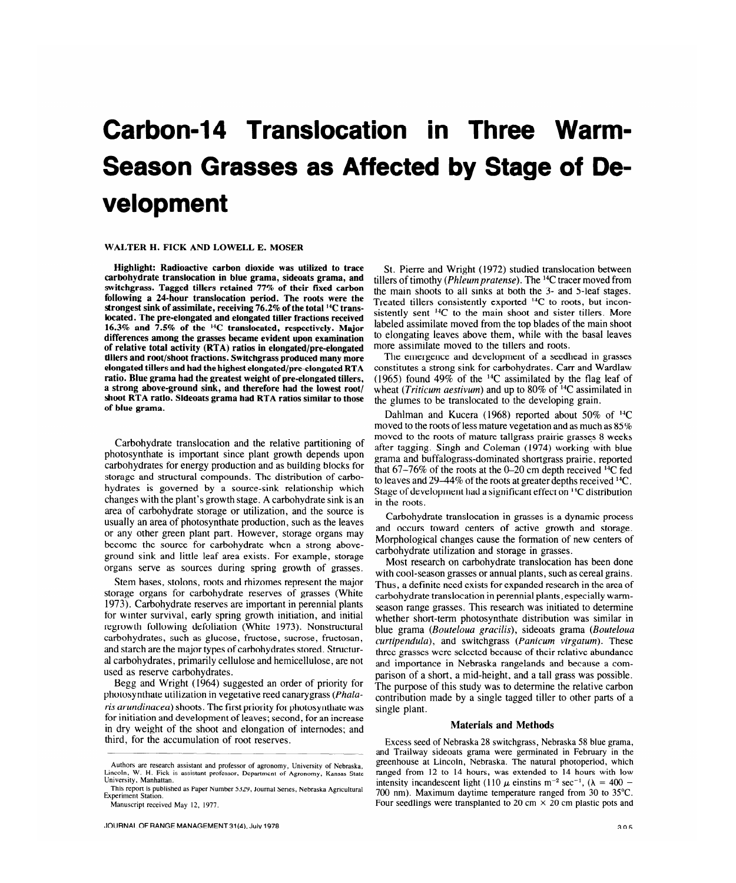# **Carbon-14 Translocation in Three Warm-Season Grasses as Affected by Stage of Development**

#### **WALTER H. FICK AND LOWELL E. MOSER**

**Highlight: Radioactive carbon dioxide was utilized to trace carbohydrate translocation in blue grama, sideoats grama, and switchgrass. Tagged tillers retained 77% of their fixed carbon following a 24-hour translocation period. The roots were the strongest sink of assimilate, receiving 76.2% of the total 14C translocated. The pre-elongated and elongated tiller fractions received 16.3% and 7.5% of the 14C translocated, respectively. Major differences among the grasses became evident upon examination of relative total activity (RTA) ratios in elongated/pre-elongated tillers and root/shoot fractions. Switchgrass produced many more elongated tillers and had the highest elongated/pre-elongated RTA ratio. Blue grama had the greatest weight of pre-elongated tillers, a strong above-ground sink, and therefore had the lowest root/ shoot RTA ratio. Sideoats grama had RTA ratios similar to those of blue grama.** 

Carbohydrate translocation and the relative partitioning of photosynthate is important since plant growth depends upon carbohydrates for energy production and as building blocks for storage and structural compounds. The distribution of carbohydrates is governed by a source-sink relationship which changes with the plant's growth stage. A carbohydrate sink is an area of carbohydrate storage or utilization, and the source is usually an area of photosynthate production, such as the leaves or any other green plant part. However, storage organs may become the source for carbohydrate when a strong aboveground sink and little leaf area exists. For example, storage organs serve as sources during spring growth of grasses.

Stem bases, stolons, roots and rhizomes represent the major storage organs for carbohydrate reserves of grasses (White 1973). Carbohydrate reserves are important in perennial plants for winter survival, early spring growth initiation, and initial regrowth following defoliation (White 1973). Nonstructural carbohydrates, such as glucose, fructose, sucrose, fructosan, and starch are the major types of carbohydrates stored. Structural carbohydrates, primarily cellulose and hemicellulose, are not used as reserve carbohydrates.

Begg and Wright (1964) suggested an order of priority for photosynthate utilization in vegetative reed canarygrass *(Phalaris arundinacea)* shoots. The first priority for photosynthate was for initiation and development of leaves; second, for an increase in dry weight of the shoot and elongation of internodes; and third, for the accumulation of root reserves.

St. Pierre and Wright (1972) studied translocation between tillers of timothy *(Phleurn pratense).* The 14C tracer moved from the main shoots to all sinks at both the 3- and 5-leaf stages. Treated tillers consistently exported 14C to roots, but inconsistently sent  $\frac{14C}{16}$  to the main shoot and sister tillers. More labeled assimilate moved from the top blades of the main shoot to elongating leaves above them, while with the basal leaves more assimilate moved to the tillers and roots.

The emergence and development of a seedhead in grasses constitutes a strong sink for carbohydrates. Carr and Wardlaw (1965) found 49% of the  $^{14}$ C assimilated by the flag leaf of wheat *(Triticum aestivum)* and up to 80% of <sup>14</sup>C assimilated in the glumes to be translocated to the developing grain.

Dahlman and Kucera (1968) reported about  $50\%$  of <sup>14</sup>C moved to the roots of less mature vegetation and as much as 85% moved to the roots of mature tallgrass prairie grasses 8 weeks after tagging. Singh and Coleman (1974) working with blue grama and buffalograss-dominated shortgrass prairie, reported that  $67-76\%$  of the roots at the 0-20 cm depth received <sup>14</sup>C fed to leaves and 29–44% of the roots at greater depths received  $^{14}C$ . Stage of development had a significant effect on <sup>14</sup>C distribution in the roots.

Carbohydrate translocation in grasses is a dynamic process and occurs toward centers of active growth and storage. Morphological changes cause the formation of new centers of carbohydrate utilization and storage in grasses.

Most research on carbohydrate translocation has been done with cool-season grasses or annual plants, such as cereal grains. Thus, a definite need exists for expanded research in the area of carbohydrate translocation in perennial plants, especially warmseason range grasses. This research was initiated to determine whether short-term photosynthate distribution was similar in blue grama *(Bouteloua gracilis),* sideoats grama *(Bouteloua curtipendula),* and switchgrass *(Panicurn virgaturn).* These three grasses were selected because of their relative abundance and importance in Nebraska rangelands and because a comparison of a short, a mid-height, and a tall grass was possible. The purpose of this study was to determine the relative carbon contribution made by a single tagged tiller to other parts of a single plant.

#### **Materials and Methods**

Excess seed of Nebraska 28 switchgrass, Nebraska 58 blue grama, and Trailway sideoats grama were germinated in February in the greenhouse at Lincoln, Nebraska. The natural photoperiod, which ranged from 12 to 14 hours, was extended to 14 hours with low intensity incandescent light (110  $\mu$  einstins m<sup>-2</sup> sec<sup>-1</sup>, ( $\lambda = 400$  -**700** nm). Maximum daytime temperature ranged from **30** to **35°C.**  Four seedlings were transplanted to 20 cm  $\times$  20 cm plastic pots and

**Authors are research assistant and professor of agronomy, University of Nebraska,**  Lincoln, W. H. Fick is assistant professor, Department of Agronomy, Kansas State **University, Manhattan.** 

**This report is published as Paper Number 5329, Journal Series, Nebraska Agricultural Experiment Station.** 

**Manuscript received May 12, 1977.**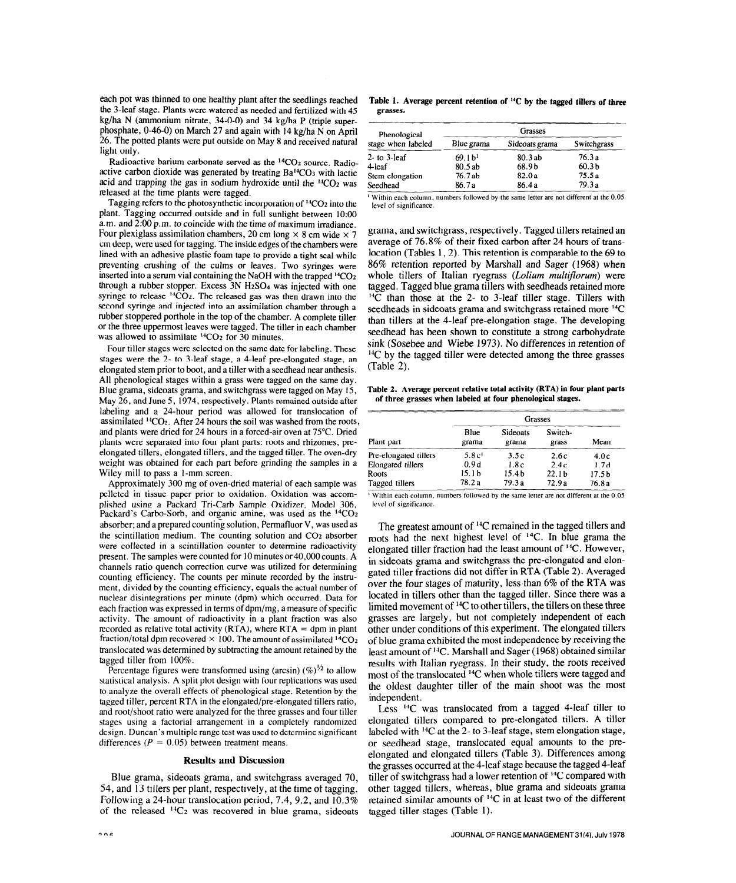each pot was thinned to one healthy plant after the seedlings reached the 3-leaf stage. Plants were watered as needed and fertilized with 45 kg/ha N (ammonium nitrate, 34-O-O) and 34 kg/ha P (triple superphosphate, 0-46-O) on March 27 and again with 14 kg/ha N on April 26. The potted plants were put outside on May 8 and received natural light only.

Radioactive barium carbonate served as the <sup>14</sup>CO<sub>2</sub> source. Radioactive carbon dioxide was generated by treating Ba14C03 with lactic acid and trapping the gas in sodium hydroxide until the  ${}^{14}CO_2$  was released at the time plants were tagged.

Tagging refers to the photosynthetic incorporation of 14C02 into the plant. Tagging occurred outside and in full sunlight between 10:00 a.m. and 2:00 p.m. to coincide with the time of maximum irradiance. Four plexiglass assimilation chambers, 20 cm long  $\times$  8 cm wide  $\times$  7 cm deep, were used for tagging. The inside edges of the chambers were lined with an adhesive plastic foam tape to provide a tight seal while preventing crushing of the culms or leaves. Two syringes were inserted into a serum vial containing the NaOH with the trapped 14C02 through a rubber stopper. Excess 3N H2SO4 was injected with one syringe to release  $^{14}CO<sub>2</sub>$ . The released gas was then drawn into the second syringe and injected into an assimilation chamber through a rubber stoppered porthole in the top of the chamber. A complete tiller or the three uppermost leaves were tagged. The tiller in each chamber was allowed to assimilate  ${}^{14}CO_2$  for 30 minutes.

Four tiller stages were selected on the same date for labeling. These stages were the 2- to 3-leaf stage, a 4-leaf pre-elongated stage, an elongated stem prior to boot, and a tiller with a seedhead near anthesis. All phenological stages within a grass were tagged on the same day. Blue grama, sideoats grama, and switchgrass were tagged on May 15, May 26, and June 5, 1974, respectively. Plants remained outside after labeling and a 24-hour period was allowed for translocation of assimilated  ${}^{14}CO_2$ . After 24 hours the soil was washed from the roots, and plants were dried for 24 hours in a forced-air oven at 75°C. Dried plants were separated into four plant parts: roots and rhizomes, preelongated tillers, elongated tillers, and the tagged tiller. The oven-dry weight was obtained for each part before grinding the samples in a Wiley mill to pass a l-mm screen. Approximately 300 mg of oven-dried material of each sample was

performancity 500 mg of over-dried material of each sample was pelleted in tissue paper prior to oxidation. Oxidation was accomplished using a Packard Tri-Carb Sample Oxidizer, Model 306, Packard's Carbo-Sorb, and organic amine, was used as the <sup>14</sup>CO<sub>2</sub> absorber; and a prepared counting solution, Permafluor V, was used as the scintillation medium. The counting solution and CO2 absorber we scintillation medium. The counting solution and  $\frac{1}{2}$  absolve were collected in a scintillation counter to determine radioactivity present. The samples were counted for 10 minutes or 40,000 counts. A channels ratio quench correction curve was utilized for determining counting efficiency. The counts per minute recorded by the instrument, divided by the counting efficiency, equals the actual number of nuclear disintegrations per minute (dpm) which occurred. Data for each fraction was expressed in terms of dpm/mg, a measure of specific activity. The amount of radioactivity in a plant fraction was also recorded as relative total activity (RTA), where  $RTA =$  dpm in plant fraction/total dpm recovered  $\times$  100. The amount of assimilated  $\frac{14}{12}$ translocated was determined by subtracting the amount retained by the tagged tiller from  $100\%$ .

Percentage figures were transformed using (arcsin)  $(\%)^{1/2}$  to allow statistical analysis. A split plot design with four replications was used. to analyze the overall effects of phenological stage. Retention by the tagged tiller, percent RTA in the elongated/pre-elongated tillers ratio, and root/shoot ratio were analyzed for the three grasses and four tiller stages using a factorial arrangement in a completely randomized design. Duncan's multiple range test was used to determine significant differences ( $P = 0.05$ ) between treatment means.

### Blue grama, sideoats grama, and switchgrass averaged 70,

Blue grama, sideoats grama, and switchgrass averaged 70, 54, and 13 tillers per plant, respectively, at the time of tagging. Following a 24-hour translocation period, 7.4, 9.2, and  $10.3\%$ of the released  ${}^{14}C_2$  was recovered in blue grama, sideoats

Table 1. Average percent retention of <sup>14</sup>C by the tagged tillers of three **grasses.** 

| Phenological<br>stage when labeled | <b>Grasses</b>    |                |                   |  |  |
|------------------------------------|-------------------|----------------|-------------------|--|--|
|                                    | Blue grama        | Sideoats grama | Switchgrass       |  |  |
| $2$ - to $3$ -leaf                 | 69.1 <sup>1</sup> | 80.3 ab        | 76.3a             |  |  |
| 4-leaf                             | 80.5 ab           | 68.9b          | 60.3 <sub>b</sub> |  |  |
| Stem elongation                    | 76.7 ab           | 82.0a          | 75.5 a            |  |  |
| Seedhead                           | 86.7a             | 86.4a          | 79.3a             |  |  |

Within each column, pumbers followed by the same letter are not different at the 0.05 **level of significance.** 

grama, and switchgrass, respectively. Tagged tillers retained an average of 76.8% of their fixed carbon after 24 hours of translocation (Tables 1, 2). This retention is comparable to the 69 to 86% retention reported by Marshall and Sager (1968) when whole tillers of Italian ryegrass *(Lolium multiJlorurn)* were tagged. Tagged blue grama tillers with seedheads retained more  $H\overline{C}$  than those at the 2- to 3-leaf tiller stage. Tillers with seedheads in sideoats grama and switchgrass retained more <sup>14</sup>C than tillers at the 4-leaf pre-elongation stage. The developing seedhead has been shown to constitute a strong carbohydrate sink (Sosebee and Wiebe 1973). No differences in retention of  $\rm ^{14}C$  by the tagged tiller were detected among the three grasses (Table 2).

**Table 2. Average percent relative total activity (RTA) in four plant Parts of three grasses when labeled at four phenological stages.** 

| Plant part            | <b>Grasses</b>    |                          |                   |                   |  |
|-----------------------|-------------------|--------------------------|-------------------|-------------------|--|
|                       | Blue<br>grama     | <b>Sideoats</b><br>grama | Switch-<br>grass  | Mean              |  |
| Pre-elongated tillers | 5.8c <sup>1</sup> | 3.5c                     | 2.6c              | 4.0c              |  |
| Elongated tillers     | 0.9d              | 1.8c                     | 2.4c              | 1.7d              |  |
| Roots                 | 15. I b           | 15.4 <sub>b</sub>        | 22.1 <sub>b</sub> | 17.5 <sub>b</sub> |  |
| Tagged tillers        | 78.2a             | 79.3a                    | 72.9a             | 76.8a             |  |

**If the second of the significance.** *numbers* **followed** by the same letter are not different at the 0.05

The greatest amount of  $^{14}C$  remained in the tagged tillers and roots had the next highest level of 14C. In blue grama the elongated tiller fraction had the least amount of 14C. However, in sideoats grama and switchgrass the pre-elongated and elongated tiller fractions did not differ in RTA (Table 2). Averaged parcu the *fourthers* of maturity, less than 6% of the DTA was  $\frac{1}{2}$ located in tillers of than the tagged tillers of the tagged than the tagged than the tagged there was a a limited movement of the till the tillers of the tillers of the time time time the time three three  $\mu$  are largely independent of  $\sim$  to other thiers, the thiers on these three grasses are largely, but not completely independent of each other under conditions of this experiment. The elongated tillers of blue grama exhibited the most independence by receiving the least amount of <sup>14</sup>C. Marshall and Sager (1968) obtained similar results with Italian ryegrass. In their study, the roots received most of the translocated <sup>14</sup>C when whole tillers were tagged and the oldest daughter tiller of the main shoot was the most independent. rependent.

Less <sup>el</sup> was transfocated from a tagged 4-fear tiller to elongated tillers compared to pre-elongated tillers. A tiller labeled with  $^{14}C$  at the 2- to 3-leaf stage, stem elongation stage, or seedhead stage, translocated equal amounts to the preelongated and elongated tillers (Table 3). Differences among the grasses occurred at the 4-leaf stage because the tagged 4-leaf tiller of switchgrass had a lower retention of <sup>14</sup>C compared with other tagged tillers, whereas, blue grama and sideoats grama retained similar amounts of  $^{14}C$  in at least two of the different tagged tiller stages (Table 1).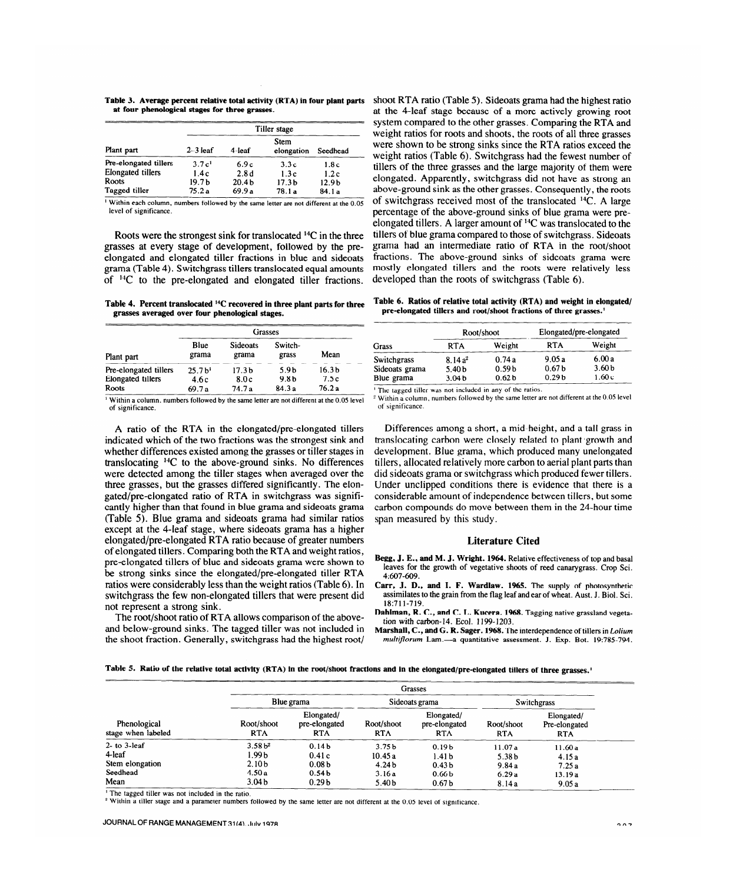**Table 3. Average percent relative total activity (RTA) in four plant parts at four phenological stages for three grasses.** 

|                          | Tiller stage      |                   |                           |                   |  |
|--------------------------|-------------------|-------------------|---------------------------|-------------------|--|
| Plant part               | $2-3$ leaf        | 4-leaf            | <b>Stem</b><br>elongation | Seedhead          |  |
| Pre-elongated tillers    | 3.7c <sup>1</sup> | 6.9c              | 3.3c                      | 1.8c              |  |
| <b>Elongated tillers</b> | 1.4c              | 2.8d              | 1.3c                      | 1.2c              |  |
| Roots                    | 19.7 b            | 20.4 <sub>b</sub> | 17.3 <sub>b</sub>         | 12.9 <sub>b</sub> |  |
| Tagged tiller            | 75.2 a            | 69.9a             | 78.1a                     | 84.1a             |  |

' Within each **column, numbers followed by the same letter are not different at the 0.05 level of significance.** 

Roots were the strongest sink for translocated 14C in the three grasses at every stage of development, followed by the preelongated and elongated tiller fractions in blue and sideoats grama (Table 4). Switchgrass tillers translocated equal amounts of  $^{14}C$  to the pre-elongated and elongated tiller fractions.

**Table** 4. **Percent translocated 14C recovered in three plant parts for three grasses averaged over four phenological stages.** 

| Plant part               | Grasses           |                          |                  |                   |  |
|--------------------------|-------------------|--------------------------|------------------|-------------------|--|
|                          | Blue<br>grama     | <b>Sideoats</b><br>grama | Switch-<br>grass | Mean              |  |
| Pre-elongated tillers    | 25.7 <sup>h</sup> | 17.3 <sub>b</sub>        | 5.9 <sub>b</sub> | 16.3 <sub>b</sub> |  |
| <b>Elongated tillers</b> | 4.6c              | 8.0c                     | 9.8 <sub>b</sub> | 7.5c              |  |
| Roots                    | 69.7a             | 74.7 a                   | 84.3a            | 76.2a             |  |

' **Within a column, numbers followed by the same letter are not different at the 0.05 level of significance.** 

A ratio of the RTA in the elongated/pre-elongated tillers indicated which of the two fractions was the strongest sink and whether differences existed among the grasses or tiller stages in translocating  $^{14}C$  to the above-ground sinks. No differences were detected among the tiller stages when averaged over the three grasses, but the grasses differed significantly. The elongated/pre-elongated ratio of RTA in switchgrass was significantly higher than that found in blue grama and sideoats grama (Table 5). Blue grama and sideoats grama had similar ratios except at the 4-leaf stage, where sideoats grama has a higher elongated/pre-elongated RTA ratio because of greater numbers of elongated tillers. Comparing both the RTA and weight ratios, pre-elongated tillers of blue and sideoats grama were shown to he strong sinks since the elongated/pre-elongated tiller RTA ratios were considerably less than the weight ratios (Table 6). In switchgrass the few non-elongated tillers that were present did not represent a strong sink.

The root/shoot ratio of RTA allows comparison of the aboveand below-ground sinks. The tagged tiller was not included in the shoot fraction. Generally, switchgrass had the highest root/

shoot RTA ratio (Table 5). Sideoats grama had the highest ratio at the 4-leaf stage because of a more actively growing root system compared to the other grasses. Comparing the RTA and weight ratios for roots and shoots, the roots of all three grasses were shown to be strong sinks since the RTA ratios exceed the weight ratios (Table 6). Switchgrass had the fewest number of tillers of the three grasses and the large majority of them were elongated. Apparently, switchgrass did not have as strong an above-ground sink as the other grasses. Consequently, the roots of switchgrass received most of the translocated 14C. A large percentage of the above-ground sinks of blue grama were preelongated tillers. A larger amount of <sup>14</sup>C was translocated to the tillers of blue grama compared to those of switchgrass. Sideoats grama had an intermediate ratio of RTA in the root/shoot fractions. The above-ground sinks of sideoats grama were mostly elongated tillers and the roots were relatively less developed than the roots of switchgrass (Table 6).

**Table 6. Ratios of relative total activity (RTA) and weight in elongated/ pre-elongated tillers and root/shoot fractions of three grasses.'** 

| Grass          |                   | Root/shoot        | Elongated/pre-elongated |                   |  |
|----------------|-------------------|-------------------|-------------------------|-------------------|--|
|                | <b>RTA</b>        | Weight            | <b>RTA</b>              | Weight            |  |
| Switchgrass    | $8.14a^2$         | 0.74a             | 9.05a                   | 6.00a             |  |
| Sideoats grama | 5.40 <sub>b</sub> | 0.59 <sub>b</sub> | 0.67 <sub>b</sub>       | 3.60 <sub>b</sub> |  |
| Blue grama     | 3.04 <sub>b</sub> | 0.62 <sub>b</sub> | 0.29 <sub>b</sub>       | 1.60c             |  |

I The tagged **tiller was not included in any of the ratios.** 

**2 Within a column, numbers followed by the same letter are not different at the 0.05 level of significance.** 

Differences among a short, a mid-height, and a tall grass in translocating carbon were closely related to plant growth and development. Blue grama, which produced many unelongated tillers, allocated relatively more carbon to aerial plant parts than did sideoats grama or switchgrass which produced fewer tillers. Under unclipped conditions there is evidence that there is a considerable amount of independence between tillers, but some carbon compounds do move between them in the 24-hour time span measured by this study.

#### **Literature Cited**

- **Begg, J. E., and M. J. Wright. 1964.** Relative effectiveness of top and basal leaves for the growth of vegetative shoots of reed canarygrass. Crop Sci. 4:607-609.
- **Carr, J. D., and I. F. Wardlaw. 1965.** The supply of photosynthetic assimilates to the grain from the flag leaf and ear of wheat. Aust. J. Biol. Sci. 18:711-719.
- **Dahlman, R. C., and C. L. Kucera. 1968.** Tagging native grassland vegetation with carbon-14. Ecol. 1199-1203.
- **Marshall, C., and G. R. Sager. 1968.** The interdependence of tillers in *Lolium mulfijlorum* Lam.-a quantitative assessment. J. Exp. Bot. 19:785-794.

|  | Table 5. Ratio of the relative total activity (RTA) in the root/shoot fractions and in the elongated/pre-elongated tillers of three grasses. |
|--|----------------------------------------------------------------------------------------------------------------------------------------------|
|--|----------------------------------------------------------------------------------------------------------------------------------------------|

| Phenological<br>stage when labeled             |                                                  | <b>Grasses</b>                                  |                                                  |                                                             |                                      |                                           |  |
|------------------------------------------------|--------------------------------------------------|-------------------------------------------------|--------------------------------------------------|-------------------------------------------------------------|--------------------------------------|-------------------------------------------|--|
|                                                | Blue grama                                       |                                                 | Sideoats grama                                   |                                                             | <b>Switchgrass</b>                   |                                           |  |
|                                                | Root/shoot<br><b>RTA</b>                         | Elongated/<br>pre-elongated<br><b>RTA</b>       | Root/shoot<br><b>RTA</b>                         | Elongated/<br>pre-elongated<br><b>RTA</b>                   | Root/shoot<br><b>RTA</b>             | Elongated/<br>Pre-elongated<br><b>RTA</b> |  |
| $2-$ to $3$ -leaf<br>4-leaf<br>Stem elongation | 3.58 <sup>2</sup><br>1.99 b<br>2.10 <sub>b</sub> | 0.14 <sub>b</sub><br>0.41c<br>0.08 <sub>b</sub> | 3.75 <sub>b</sub><br>10.45a<br>4.24 <sub>b</sub> | 0.19 <sub>b</sub><br>1.41 <sub>b</sub><br>0.43 <sub>b</sub> | 11.07a<br>5.38 <sub>b</sub><br>9.84a | 11.60a<br>4.15a<br>7.25a                  |  |
| Seedhead<br>Mean                               | 4.50a<br>3.04 <sub>b</sub>                       | 0.54 <sub>b</sub><br>0.29 <sub>b</sub>          | 3.16a<br>5.40 <sub>b</sub>                       | 0.66 <sub>b</sub><br>0.67 <sub>b</sub>                      | 6.29a<br>8.14a                       | 13.19a<br>9.05a                           |  |

' **The tagged tiller was not included in the ratio.** 

**' Within a tiller stage and a parameter numbers followed by the same letter are not different at the 0.05 level of significance.**